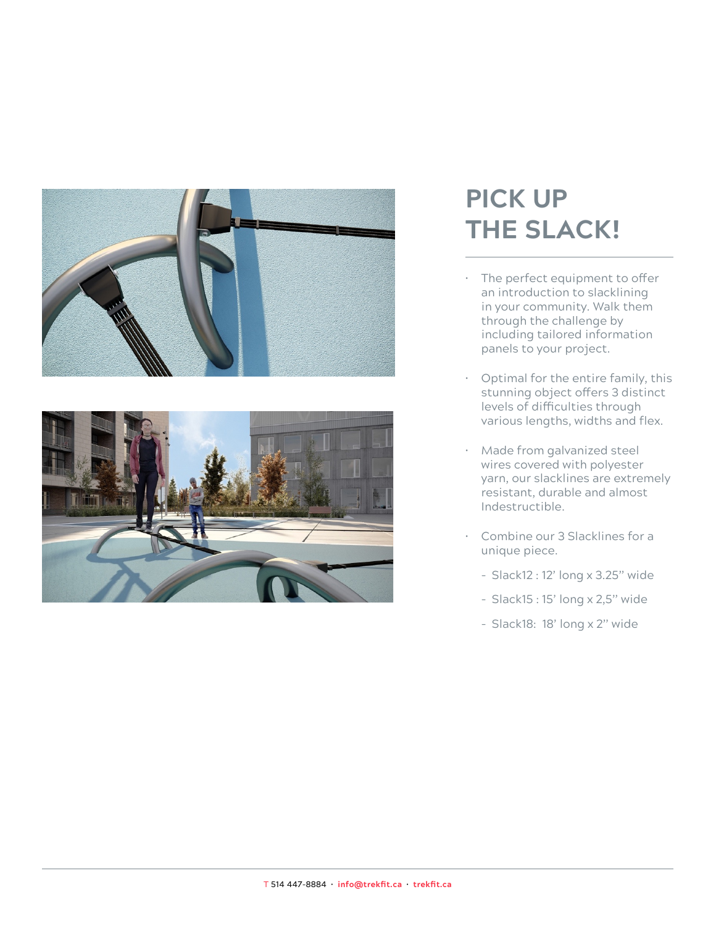



## **PICK UP THE SLACK!**

- The perfect equipment to offer an introduction to slacklining in your community. Walk them through the challenge by including tailored information panels to your project.
- Optimal for the entire family, this stunning object offers 3 distinct levels of difficulties through various lengths, widths and flex.
- Made from galvanized steel wires covered with polyester yarn, our slacklines are extremely resistant, durable and almost Indestructible.
- Combine our 3 Slacklines for a unique piece.
	- Slack12 : 12' long x 3.25'' wide
	- Slack15 : 15' long x 2,5'' wide
	- Slack18: 18' long x 2'' wide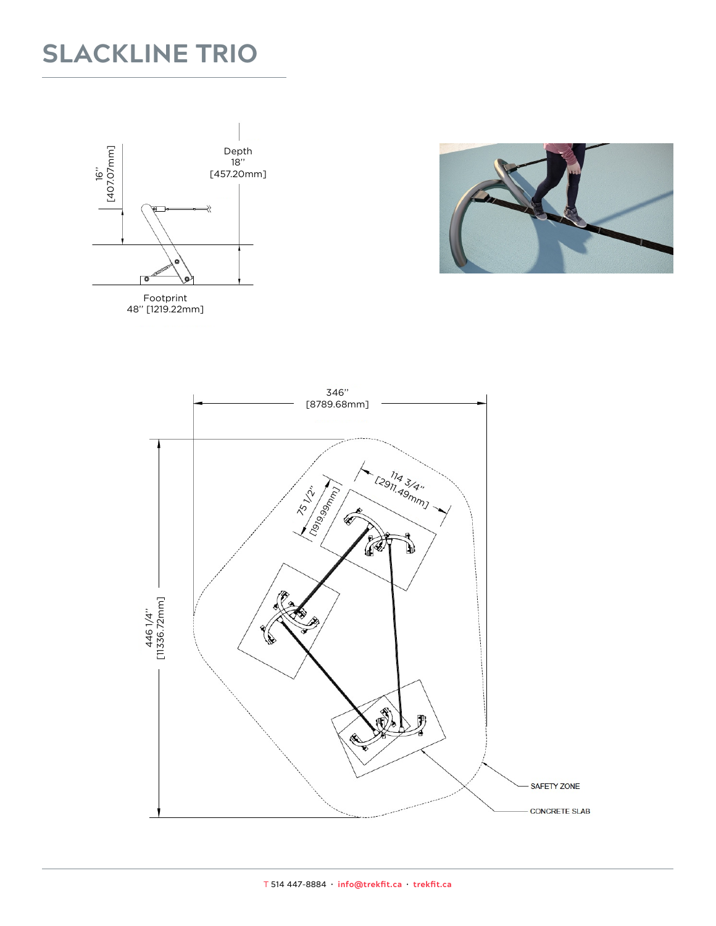### **SLACKLINE TRIO**